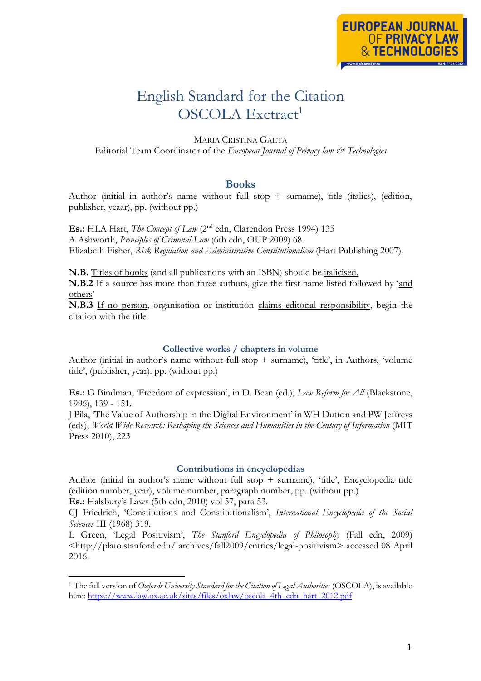# English Standard for the Citation OSCOLA Exctract<sup>1</sup>

MARIA CRISTINA GAETA Editorial Team Coordinator of the *European Journal of Privacy law & Technologies*

## **Books**

Author (initial in author's name without full stop + surname), title (italics), (edition, publisher, yeaar), pp. (without pp.)

**Es.:** HLA Hart, *The Concept of Law* (2<sup>nd</sup> edn, Clarendon Press 1994) 135 A Ashworth, *Principles of Criminal Law* (6th edn, OUP 2009) 68. Elizabeth Fisher, *Risk Regulation and Administrative Constitutionalism* (Hart Publishing 2007).

**N.B.** Titles of books (and all publications with an ISBN) should be italicised.

**N.B.2** If a source has more than three authors, give the first name listed followed by 'and others'

**N.B.3** If no person, organisation or institution claims editorial responsibility, begin the citation with the title

#### **Collective works / chapters in volume**

Author (initial in author's name without full stop + surname), 'title', in Authors, 'volume title', (publisher, year). pp. (without pp.)

**Es.:** G Bindman, 'Freedom of expression', in D. Bean (ed.), *Law Reform for All* (Blackstone, 1996), 139 - 151.

J Pila, 'The Value of Authorship in the Digital Environment' in WH Dutton and PW Jeffreys (eds), *World Wide Research: Reshaping the Sciences and Humanities in the Century of Information* (MIT Press 2010), 223

#### **Contributions in encyclopedias**

Author (initial in author's name without full stop  $+$  surname), 'title', Encyclopedia title (edition number, year), volume number, paragraph number, pp. (without pp.)

**Es.:** Halsbury's Laws (5th edn, 2010) vol 57, para 53.

CJ Friedrich, 'Constitutions and Constitutionalism', *International Encyclopedia of the Social Sciences* III (1968) 319.

L Green, 'Legal Positivism', *The Stanford Encyclopedia of Philosophy* (Fall edn, 2009) <http://plato.stanford.edu/ archives/fall2009/entries/legal-positivism> accessed 08 April 2016.

<sup>1</sup> The full version of *Oxfords University Standard for the Citation of Legal Authorities* (OSCOLA), is available here: [https://www.law.ox.ac.uk/sites/files/oxlaw/oscola\\_4th\\_edn\\_hart\\_2012.pdf](https://www.law.ox.ac.uk/sites/files/oxlaw/oscola_4th_edn_hart_2012.pdf)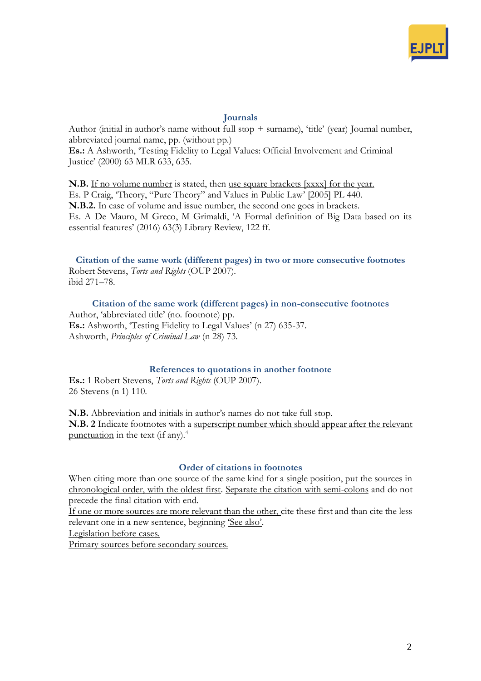

## **Journals**

Author (initial in author's name without full stop  $+$  surname), 'title' (year) Journal number, abbreviated journal name, pp. (without pp.)

**Es.:** A Ashworth, 'Testing Fidelity to Legal Values: Official Involvement and Criminal Justice' (2000) 63 MLR 633, 635.

N.B. If no volume number is stated, then use square brackets [xxxx] for the year. Es. P Craig, 'Theory, "Pure Theory" and Values in Public Law' [2005] PL 440. **N.B.2.** In case of volume and issue number, the second one goes in brackets. Es. A De Mauro, M Greco, M Grimaldi, 'A Formal definition of Big Data based on its essential features' (2016) 63(3) Library Review, 122 ff.

**Citation of the same work (different pages) in two or more consecutive footnotes** Robert Stevens, *Torts and Rights* (OUP 2007). ibid 271–78.

**Citation of the same work (different pages) in non-consecutive footnotes** Author, 'abbreviated title' (no. footnote) pp. **Es.:** Ashworth, 'Testing Fidelity to Legal Values' (n 27) 635-37. Ashworth, *Principles of Criminal Law* (n 28) 73.

## **References to quotations in another footnote**

**Es.:** 1 Robert Stevens, *Torts and Rights* (OUP 2007). 26 Stevens (n 1) 110.

**N.B.** Abbreviation and initials in author's names do not take full stop. **N.B. 2** Indicate footnotes with a superscript number which should appear after the relevant punctuation in the text (if any).<sup>4</sup>

#### **Order of citations in footnotes**

When citing more than one source of the same kind for a single position, put the sources in chronological order, with the oldest first. Separate the citation with semi-colons and do not precede the final citation with end.

If one or more sources are more relevant than the other, cite these first and than cite the less relevant one in a new sentence, beginning 'See also'.

Legislation before cases.

Primary sources before secondary sources.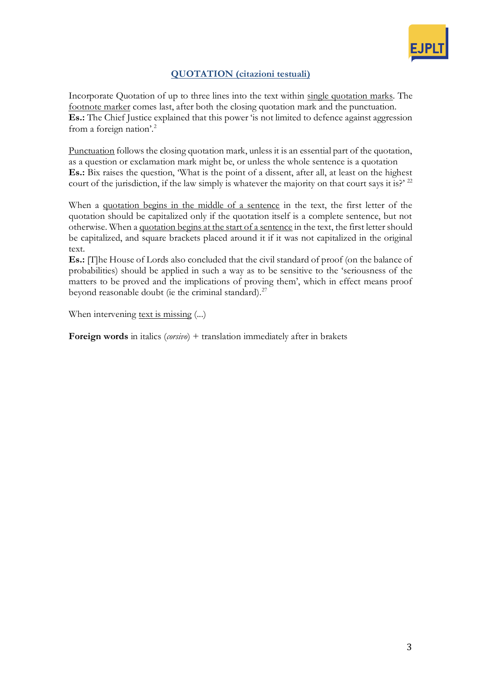

# **QUOTATION (citazioni testuali)**

Incorporate Quotation of up to three lines into the text within single quotation marks. The footnote marker comes last, after both the closing quotation mark and the punctuation. **Es.:** The Chief Justice explained that this power 'is not limited to defence against aggression from a foreign nation'.<sup>2</sup>

Punctuation follows the closing quotation mark, unless it is an essential part of the quotation, as a question or exclamation mark might be, or unless the whole sentence is a quotation **Es.:** Bix raises the question, 'What is the point of a dissent, after all, at least on the highest court of the jurisdiction, if the law simply is whatever the majority on that court says it is?'  $^{22}$ 

When a quotation begins in the middle of a sentence in the text, the first letter of the quotation should be capitalized only if the quotation itself is a complete sentence, but not otherwise. When a quotation begins at the start of a sentence in the text, the first letter should be capitalized, and square brackets placed around it if it was not capitalized in the original text.

**Es.:** [T]he House of Lords also concluded that the civil standard of proof (on the balance of probabilities) should be applied in such a way as to be sensitive to the 'seriousness of the matters to be proved and the implications of proving them', which in effect means proof beyond reasonable doubt (ie the criminal standard).<sup>27</sup>

When intervening text is missing (...)

**Foreign words** in italics (*corsivo*) + translation immediately after in brakets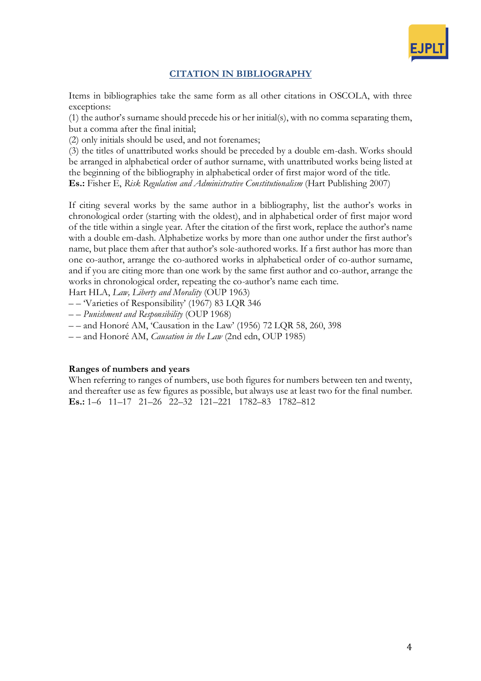

# **CITATION IN BIBLIOGRAPHY**

Items in bibliographies take the same form as all other citations in OSCOLA, with three exceptions:

(1) the author's surname should precede his or her initial(s), with no comma separating them, but a comma after the final initial;

(2) only initials should be used, and not forenames;

(3) the titles of unattributed works should be preceded by a double em-dash. Works should be arranged in alphabetical order of author surname, with unattributed works being listed at the beginning of the bibliography in alphabetical order of first major word of the title. **Es.:** Fisher E, *Risk Regulation and Administrative Constitutionalism* (Hart Publishing 2007)

If citing several works by the same author in a bibliography, list the author's works in chronological order (starting with the oldest), and in alphabetical order of first major word of the title within a single year. After the citation of the first work, replace the author's name with a double em-dash. Alphabetize works by more than one author under the first author's name, but place them after that author's sole-authored works. If a first author has more than one co-author, arrange the co-authored works in alphabetical order of co-author surname, and if you are citing more than one work by the same first author and co-author, arrange the works in chronological order, repeating the co-author's name each time.

Hart HLA, *Law, Liberty and Morality* (OUP 1963)

– – 'Varieties of Responsibility' (1967) 83 LQR 346

– – *Punishment and Responsibility* (OUP 1968)

– – and Honoré AM, 'Causation in the Law' (1956) 72 LQR 58, 260, 398

– – and Honoré AM, *Causation in the Law* (2nd edn, OUP 1985)

## **Ranges of numbers and years**

When referring to ranges of numbers, use both figures for numbers between ten and twenty, and thereafter use as few figures as possible, but always use at least two for the final number. **Es.:** 1–6 11–17 21–26 22–32 121–221 1782–83 1782–812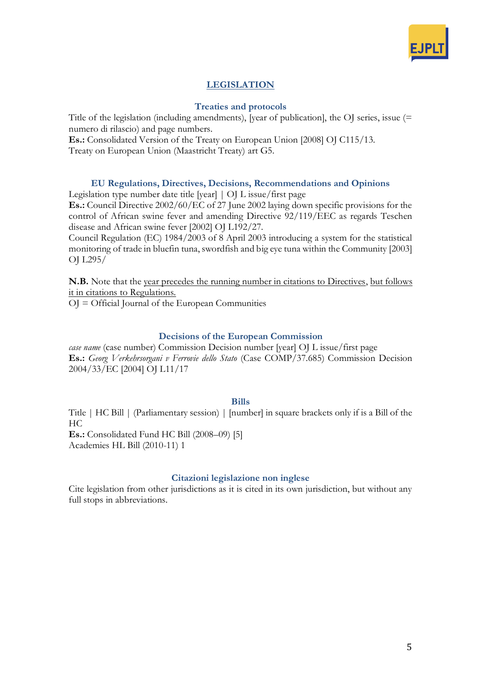

# **LEGISLATION**

## **Treaties and protocols**

Title of the legislation (including amendments), [year of publication], the OJ series, issue (= numero di rilascio) and page numbers.

**Es.:** Consolidated Version of the Treaty on European Union [2008] OJ C115/13.

Treaty on European Union (Maastricht Treaty) art G5.

## **EU Regulations, Directives, Decisions, Recommendations and Opinions**

Legislation type number date title [year] | OJ L issue/first page

**Es.:** Council Directive 2002/60/EC of 27 June 2002 laying down specific provisions for the control of African swine fever and amending Directive 92/119/EEC as regards Teschen disease and African swine fever [2002] OJ L192/27.

Council Regulation (EC) 1984/2003 of 8 April 2003 introducing a system for the statistical monitoring of trade in bluefin tuna, swordfish and big eye tuna within the Community [2003] OJ L295/

**N.B.** Note that the year precedes the running number in citations to Directives, but follows it in citations to Regulations.

OJ = Official Journal of the European Communities

## **Decisions of the European Commission**

*case name* (case number) Commission Decision number [year] OJ L issue/first page **Es.:** *Georg Verkehrsorgani v Ferrovie dello Stato* (Case COMP/37.685) Commission Decision 2004/33/EC [2004] OJ L11/17

#### **Bills**

Title | HC Bill | (Parliamentary session) | [number] in square brackets only if is a Bill of the HC

**Es.:** Consolidated Fund HC Bill (2008–09) [5] Academies HL Bill (2010-11) 1

## **Citazioni legislazione non inglese**

Cite legislation from other jurisdictions as it is cited in its own jurisdiction, but without any full stops in abbreviations.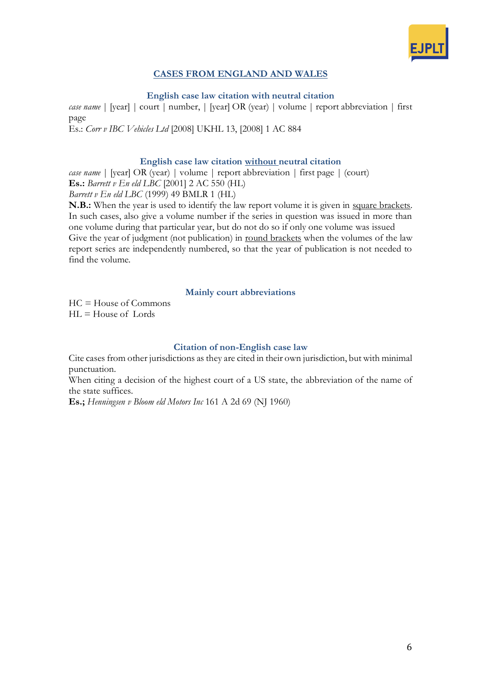

# **CASES FROM ENGLAND AND WALES**

**English case law citation with neutral citation**

*case name* | [year] | court | number, | [year] OR (year) | volume | report abbreviation | first page Es.: *Corr v IBC Vehicles Ltd* [2008] UKHL 13, [2008] 1 AC 884

## **English case law citation without neutral citation**

*case name* | [year] OR (year) | volume | report abbreviation | first page | (court) **Es.:** *Barrett v En eld LBC* [2001] 2 AC 550 (HL)

*Barrett v En eld LBC* (1999) 49 BMLR 1 (HL)

**N.B.:** When the year is used to identify the law report volume it is given in square brackets. In such cases, also give a volume number if the series in question was issued in more than one volume during that particular year, but do not do so if only one volume was issued Give the year of judgment (not publication) in round brackets when the volumes of the law report series are independently numbered, so that the year of publication is not needed to find the volume.

## **Mainly court abbreviations**

HC = House of Commons  $HI = House of$  Lords

## **Citation of non-English case law**

Cite cases from other jurisdictions as they are cited in their own jurisdiction, but with minimal punctuation.

When citing a decision of the highest court of a US state, the abbreviation of the name of the state suffices.

**Es.;** *Henningsen v Bloom eld Motors Inc* 161 A 2d 69 (NJ 1960)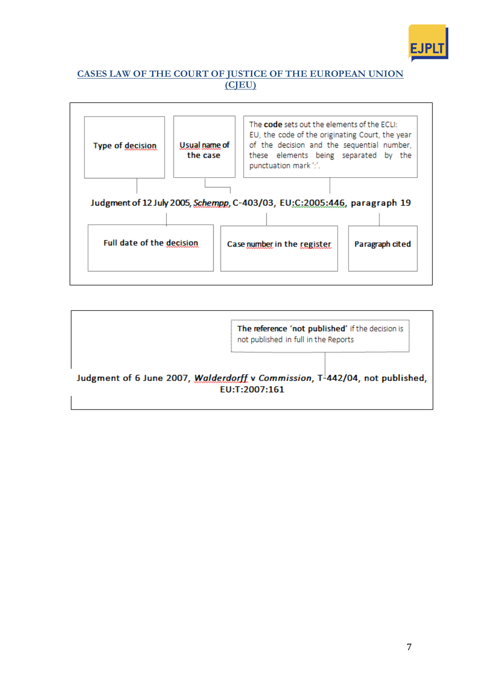

# **CASES LAW OF THE COURT OF JUSTICE OF THE EUROPEAN UNION (CJEU)**



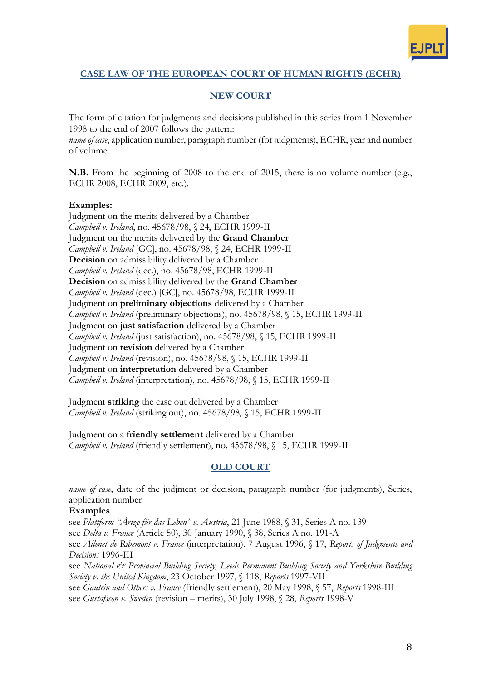

# **CASE LAW OF THE EUROPEAN COURT OF HUMAN RIGHTS (ECHR)**

# **NEW COURT**

The form of citation for judgments and decisions published in this series from 1 November 1998 to the end of 2007 follows the pattern:

*name of case*, application number, paragraph number (for judgments), ECHR, year and number of volume.

**N.B.** From the beginning of 2008 to the end of 2015, there is no volume number (e.g., ECHR 2008, ECHR 2009, etc.).

## **Examples:**

Judgment on the merits delivered by a Chamber *Campbell v. Ireland*, no. 45678/98, § 24, ECHR 1999-II Judgment on the merits delivered by the **Grand Chamber** *Campbell v. Ireland* [GC], no. 45678/98, § 24, ECHR 1999-II **Decision** on admissibility delivered by a Chamber *Campbell v. Ireland* (dec.), no. 45678/98, ECHR 1999-II **Decision** on admissibility delivered by the **Grand Chamber** *Campbell v. Ireland* (dec.) [GC], no. 45678/98, ECHR 1999-II Judgment on **preliminary objections** delivered by a Chamber *Campbell v. Ireland* (preliminary objections), no. 45678/98, § 15, ECHR 1999-II Judgment on **just satisfaction** delivered by a Chamber *Campbell v. Ireland* (just satisfaction), no. 45678/98, § 15, ECHR 1999-II Judgment on **revision** delivered by a Chamber *Campbell v. Ireland* (revision), no. 45678/98, § 15, ECHR 1999-II Judgment on **interpretation** delivered by a Chamber *Campbell v. Ireland* (interpretation), no. 45678/98, § 15, ECHR 1999-II

Judgment **striking** the case out delivered by a Chamber *Campbell v. Ireland* (striking out), no. 45678/98, § 15, ECHR 1999-II

Judgment on a **friendly settlement** delivered by a Chamber *Campbell v. Ireland* (friendly settlement), no. 45678/98, § 15, ECHR 1999-II

# **OLD COURT**

*name of case*, date of the judjment or decision, paragraph number (for judgments), Series, application number

## **Examples**

see *Plattform "Ärtze für das Leben" v. Austria*, 21 June 1988, § 31, Series A no. 139 see *Delta v. France* (Article 50), 30 January 1990, § 38, Series A no. 191-A see *Allenet de Ribemont v. France* (interpretation), 7 August 1996, § 17, *Reports of Judgments and Decisions* 1996-III see National & Provincial Building Society, Leeds Permanent Building Society and Yorkshire Building

*Society v. the United Kingdom*, 23 October 1997, § 118, *Reports* 1997-VII see *Gautrin and Others v. France* (friendly settlement), 20 May 1998, § 57, *Reports* 1998-III

see *Gustafsson v. Sweden* (revision – merits), 30 July 1998, § 28, *Reports* 1998-V